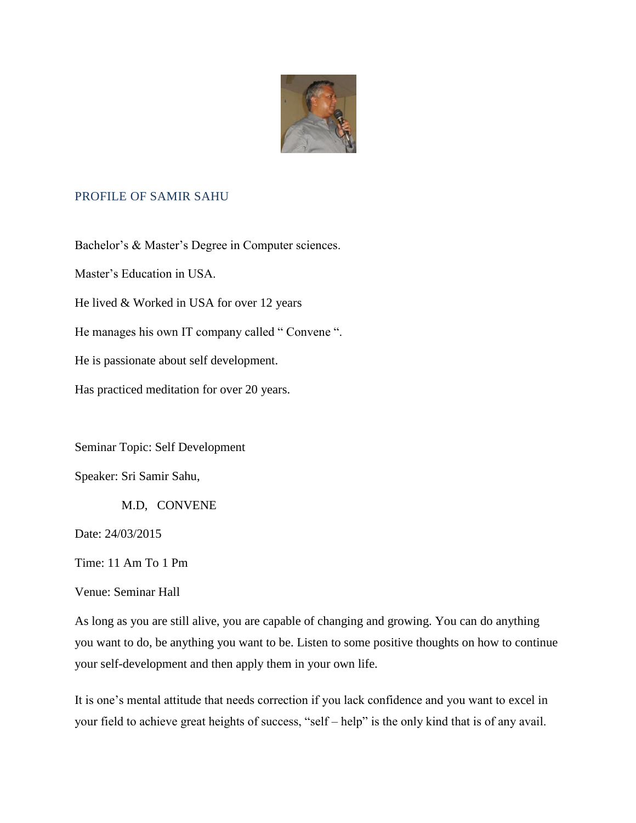

## PROFILE OF SAMIR SAHU

Bachelor's & Master's Degree in Computer sciences.

Master's Education in USA.

He lived & Worked in USA for over 12 years

He manages his own IT company called " Convene ".

He is passionate about self development.

Has practiced meditation for over 20 years.

Seminar Topic: Self Development

Speaker: Sri Samir Sahu,

M.D, CONVENE

Date: 24/03/2015

Time: 11 Am To 1 Pm

Venue: Seminar Hall

As long as you are still alive, you are capable of changing and growing. You can do anything you want to do, be anything you want to be. Listen to some positive thoughts on how to continue your self-development and then apply them in your own life.

It is one's mental attitude that needs correction if you lack confidence and you want to excel in your field to achieve great heights of success, "self – help" is the only kind that is of any avail.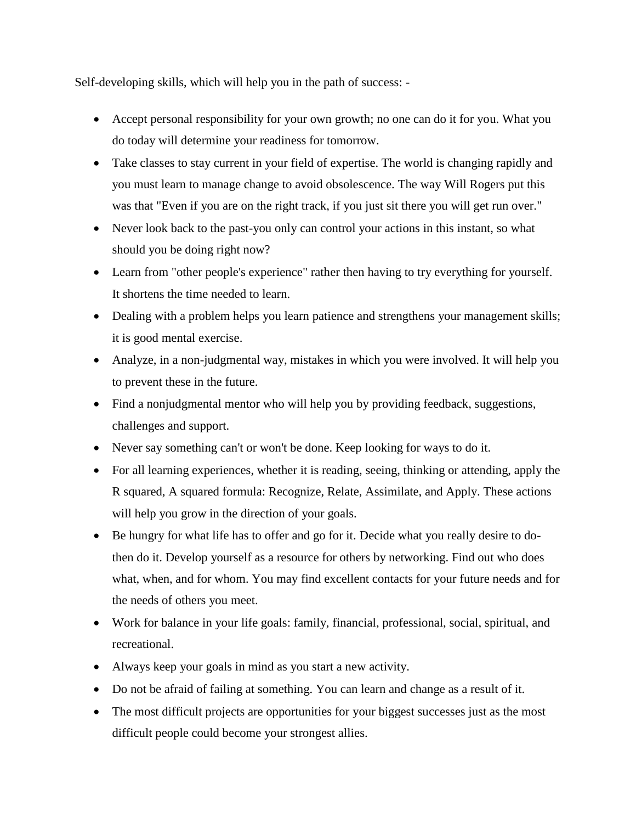Self-developing skills, which will help you in the path of success: -

- Accept personal responsibility for your own growth; no one can do it for you. What you do today will determine your readiness for tomorrow.
- Take classes to stay current in your field of expertise. The world is changing rapidly and you must learn to manage change to avoid obsolescence. The way Will Rogers put this was that "Even if you are on the right track, if you just sit there you will get run over."
- Never look back to the past-you only can control your actions in this instant, so what should you be doing right now?
- Learn from "other people's experience" rather then having to try everything for yourself. It shortens the time needed to learn.
- Dealing with a problem helps you learn patience and strengthens your management skills; it is good mental exercise.
- Analyze, in a non-judgmental way, mistakes in which you were involved. It will help you to prevent these in the future.
- Find a nonjudgmental mentor who will help you by providing feedback, suggestions, challenges and support.
- Never say something can't or won't be done. Keep looking for ways to do it.
- For all learning experiences, whether it is reading, seeing, thinking or attending, apply the R squared, A squared formula: Recognize, Relate, Assimilate, and Apply. These actions will help you grow in the direction of your goals.
- Be hungry for what life has to offer and go for it. Decide what you really desire to dothen do it. Develop yourself as a resource for others by networking. Find out who does what, when, and for whom. You may find excellent contacts for your future needs and for the needs of others you meet.
- Work for balance in your life goals: family, financial, professional, social, spiritual, and recreational.
- Always keep your goals in mind as you start a new activity.
- Do not be afraid of failing at something. You can learn and change as a result of it.
- The most difficult projects are opportunities for your biggest successes just as the most difficult people could become your strongest allies.